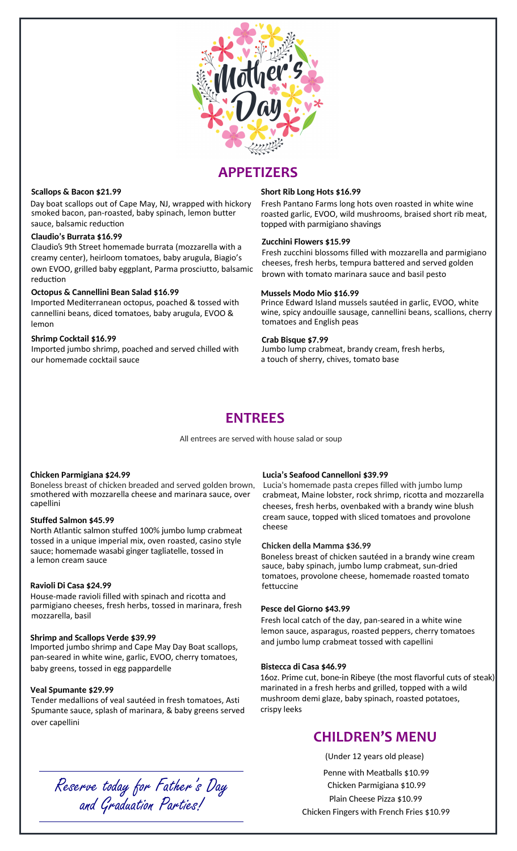

# **APPETIZERS**

#### **Scallops & Bacon \$21.99**

sauce, balsamic reduction smoked bacon, pan-roasted, baby spinach, lemon butter Day boat scallops out of Cape May, NJ, wrapped with hickory Fresh Pantano Farms long hots oven roasted in white wine

## **Claudio's Burrata \$16.99**

creamy center), heirloom tomatoes, baby arugula, Biagio's reduction Claudio's 9th Street homemade burrata (mozzarella with a own EVOO, grilled baby eggplant, Parma prosciutto, balsamic

## **Octopus & Cannellini Bean Salad \$16.99**

Imported Mediterranean octopus, poached & tossed with cannellini beans, diced tomatoes, baby arugula, EVOO & lemon

## **Shrimp Cocktail \$16.99**

Imported jumbo shrimp, poached and served chilled with Jumbo lump crabmeat, brandy cream, fresh herbs, our homemade cocktail sauce

## **Short Rib Long Hots \$16.99**

topped with parmigiano shavings roasted garlic, EVOO, wild mushrooms, braised short rib meat,

#### **Zucchini Flowers \$15.99**

cheeses, fresh herbs, tempura battered and served golden brown with tomato marinara sauce and basil pesto Fresh zucchini blossoms filled with mozzarella and parmigiano

#### **Mussels Modo Mio \$16.99**

Prince Edward Island mussels sautéed in garlic, EVOO, white wine, spicy andouille sausage, cannellini beans, scallions, cherry tomatoes and English peas

#### **Crab Bisque \$7.99**

a touch of sherry, chives, tomato base

## **ENTREES**

All entrees are served with house salad or soup

#### **Chicken Parmigiana \$24.99**

capellini smothered with mozzarella cheese and marinara sauce, over Boneless breast of chicken breaded and served golden brown, Lucia's homemade pasta crepes filled with jumbo lump

## **Stuffed Salmon \$45.99**

North Atlantic salmon stuffed 100% jumbo lump crabmeat tossed in a unique imperial mix, oven roasted, casino style a lemon cream sauce sauce; homemade wasabi ginger tagliatelle, tossed in

## **Ravioli Di Casa \$24.99**

House-made ravioli filled with spinach and ricotta and parmigiano cheeses, fresh herbs, tossed in marinara, fresh mozzarella, basil

#### **Shrimp and Scallops Verde \$39.99**

Imported jumbo shrimp and Cape May Day Boat scallops, pan-seared in white wine, garlic, EVOO, cherry tomatoes, baby greens, tossed in egg pappardelle

#### **Veal Spumante \$29.99**

Tender medallions of veal sautéed in fresh tomatoes, Asti Spumante sauce, splash of marinara, & baby greens served over capellini

## **Lucia's Seafood Cannelloni \$39.99**

crabmeat, Maine lobster, rock shrimp, ricotta and mozzarella cheese cheeses, fresh herbs, ovenbaked with a brandy wine blush cream sauce, topped with sliced tomatoes and provolone

#### **Chicken della Mamma \$36.99**

sauce, baby spinach, jumbo lump crabmeat, sun-dried tomatoes, provolone cheese, homemade roasted tomato fettuccine Boneless breast of chicken sautéed in a brandy wine cream

#### **Pesce del Giorno \$43.99**

Fresh local catch of the day, pan-seared in a white wine lemon sauce, asparagus, roasted peppers, cherry tomatoes and jumbo lump crabmeat tossed with capellini

#### **Bistecca di Casa \$46.99**

marinated in a fresh herbs and grilled, topped with a wild mushroom demi glaze, baby spinach, roasted potatoes, crispy leeks 16oz. Prime cut, bone-in Ribeye (the most flavorful cuts of steak)

## **CHILDREN'S MENU**

(Under 12 years old please)

Penne with Meatballs \$10.99 Chicken Parmigiana \$10.99 Chicken Fingers with French Fries \$10.99 Plain Cheese Pizza \$10.99

Reserve today for Father's Day and Graduation Parties!